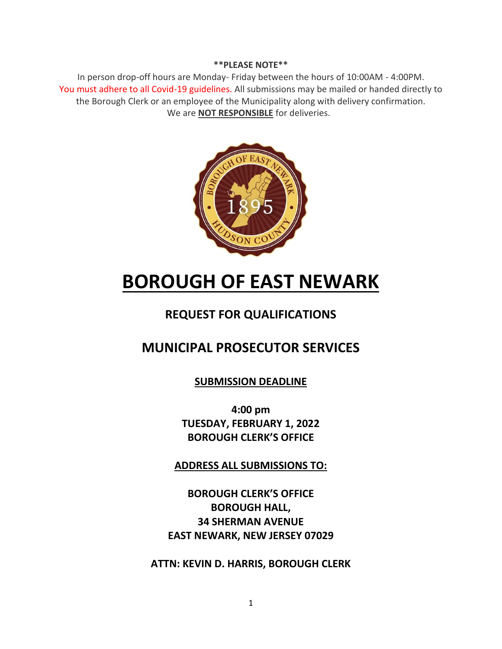#### **\*\*PLEASE NOTE\*\***

In person drop-off hours are Monday- Friday between the hours of 10:00AM - 4:00PM. You must adhere to all Covid-19 guidelines. All submissions may be mailed or handed directly to the Borough Clerk or an employee of the Municipality along with delivery confirmation. We are **NOT RESPONSIBLE** for deliveries.



# **BOROUGH OF EAST NEWARK**

# **REQUEST FOR QUALIFICATIONS**

# **MUNICIPAL PROSECUTOR SERVICES**

**SUBMISSION DEADLINE**

**4:00 pm TUESDAY, FEBRUARY 1, 2022 BOROUGH CLERK'S OFFICE**

**ADDRESS ALL SUBMISSIONS TO:**

**BOROUGH CLERK'S OFFICE BOROUGH HALL, 34 SHERMAN AVENUE EAST NEWARK, NEW JERSEY 07029**

**ATTN: KEVIN D. HARRIS, BOROUGH CLERK**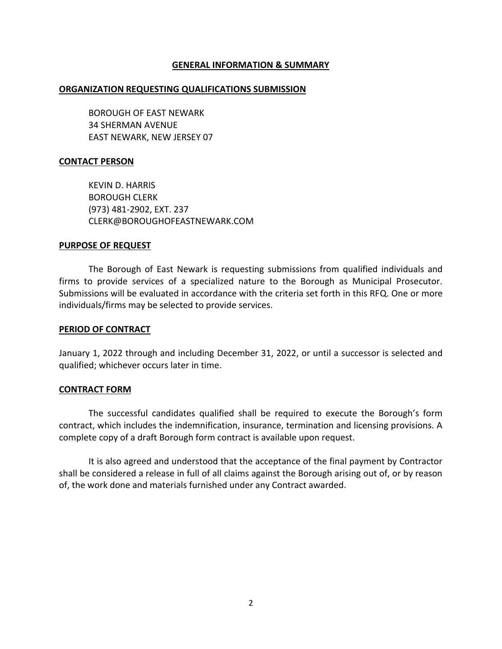#### **GENERAL INFORMATION & SUMMARY**

#### **ORGANIZATION REQUESTING QUALIFICATIONS SUBMISSION**

BOROUGH OF EAST NEWARK 34 SHERMAN AVENUE EAST NEWARK, NEW JERSEY 07

#### **CONTACT PERSON**

KEVIN D. HARRIS BOROUGH CLERK (973) 481-2902, EXT. 237 CLERK@BOROUGHOFEASTNEWARK.COM

#### **PURPOSE OF REQUEST**

The Borough of East Newark is requesting submissions from qualified individuals and firms to provide services of a specialized nature to the Borough as Municipal Prosecutor. Submissions will be evaluated in accordance with the criteria set forth in this RFQ. One or more individuals/firms may be selected to provide services.

#### **PERIOD OF CONTRACT**

January 1, 2022 through and including December 31, 2022, or until a successor is selected and qualified; whichever occurs later in time.

#### **CONTRACT FORM**

The successful candidates qualified shall be required to execute the Borough's form contract, which includes the indemnification, insurance, termination and licensing provisions. A complete copy of a draft Borough form contract is available upon request.

It is also agreed and understood that the acceptance of the final payment by Contractor shall be considered a release in full of all claims against the Borough arising out of, or by reason of, the work done and materials furnished under any Contract awarded.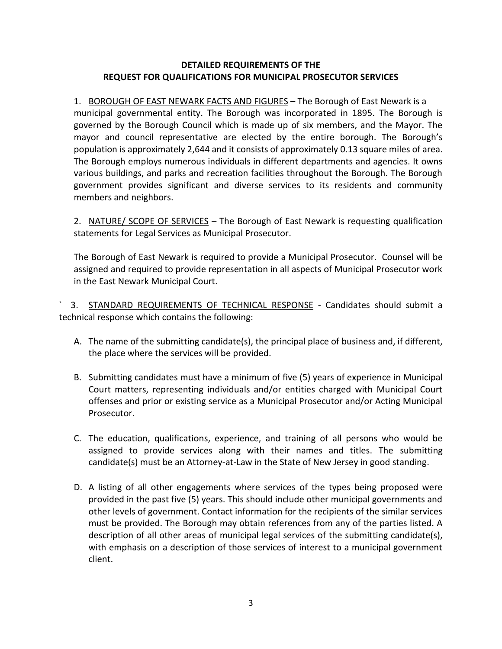## **DETAILED REQUIREMENTS OF THE REQUEST FOR QUALIFICATIONS FOR MUNICIPAL PROSECUTOR SERVICES**

1. BOROUGH OF EAST NEWARK FACTS AND FIGURES – The Borough of East Newark is a municipal governmental entity. The Borough was incorporated in 1895. The Borough is governed by the Borough Council which is made up of six members, and the Mayor. The mayor and council representative are elected by the entire borough. The Borough's population is approximately 2,644 and it consists of approximately 0.13 square miles of area. The Borough employs numerous individuals in different departments and agencies. It owns various buildings, and parks and recreation facilities throughout the Borough. The Borough government provides significant and diverse services to its residents and community members and neighbors.

2. NATURE/ SCOPE OF SERVICES – The Borough of East Newark is requesting qualification statements for Legal Services as Municipal Prosecutor.

The Borough of East Newark is required to provide a Municipal Prosecutor. Counsel will be assigned and required to provide representation in all aspects of Municipal Prosecutor work in the East Newark Municipal Court.

3. STANDARD REQUIREMENTS OF TECHNICAL RESPONSE - Candidates should submit a technical response which contains the following:

- A. The name of the submitting candidate(s), the principal place of business and, if different, the place where the services will be provided.
- B. Submitting candidates must have a minimum of five (5) years of experience in Municipal Court matters, representing individuals and/or entities charged with Municipal Court offenses and prior or existing service as a Municipal Prosecutor and/or Acting Municipal Prosecutor.
- C. The education, qualifications, experience, and training of all persons who would be assigned to provide services along with their names and titles. The submitting candidate(s) must be an Attorney-at-Law in the State of New Jersey in good standing.
- D. A listing of all other engagements where services of the types being proposed were provided in the past five (5) years. This should include other municipal governments and other levels of government. Contact information for the recipients of the similar services must be provided. The Borough may obtain references from any of the parties listed. A description of all other areas of municipal legal services of the submitting candidate(s), with emphasis on a description of those services of interest to a municipal government client.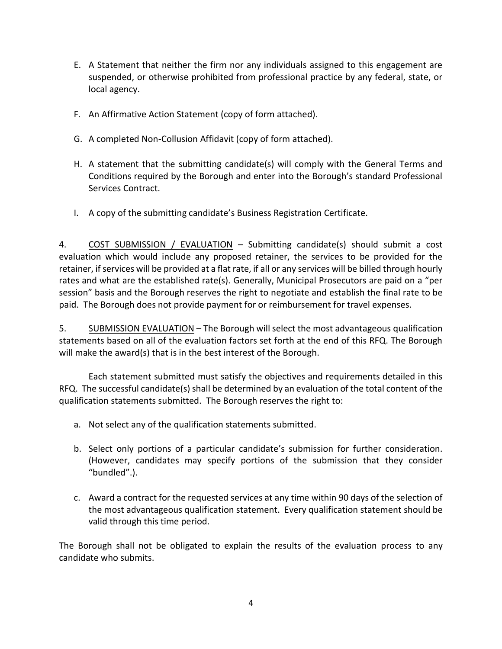- E. A Statement that neither the firm nor any individuals assigned to this engagement are suspended, or otherwise prohibited from professional practice by any federal, state, or local agency.
- F. An Affirmative Action Statement (copy of form attached).
- G. A completed Non-Collusion Affidavit (copy of form attached).
- H. A statement that the submitting candidate(s) will comply with the General Terms and Conditions required by the Borough and enter into the Borough's standard Professional Services Contract.
- I. A copy of the submitting candidate's Business Registration Certificate.

4. COST SUBMISSION / EVALUATION - Submitting candidate(s) should submit a cost evaluation which would include any proposed retainer, the services to be provided for the retainer, if services will be provided at a flat rate, if all or any services will be billed through hourly rates and what are the established rate(s). Generally, Municipal Prosecutors are paid on a "per session" basis and the Borough reserves the right to negotiate and establish the final rate to be paid. The Borough does not provide payment for or reimbursement for travel expenses.

5. SUBMISSION EVALUATION – The Borough will select the most advantageous qualification statements based on all of the evaluation factors set forth at the end of this RFQ. The Borough will make the award(s) that is in the best interest of the Borough.

Each statement submitted must satisfy the objectives and requirements detailed in this RFQ. The successful candidate(s) shall be determined by an evaluation of the total content of the qualification statements submitted. The Borough reserves the right to:

- a. Not select any of the qualification statements submitted.
- b. Select only portions of a particular candidate's submission for further consideration. (However, candidates may specify portions of the submission that they consider "bundled".).
- c. Award a contract for the requested services at any time within 90 days of the selection of the most advantageous qualification statement. Every qualification statement should be valid through this time period.

The Borough shall not be obligated to explain the results of the evaluation process to any candidate who submits.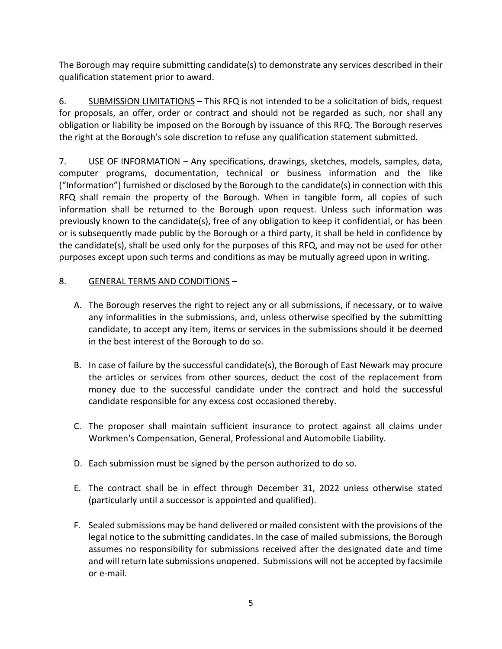The Borough may require submitting candidate(s) to demonstrate any services described in their qualification statement prior to award.

6. SUBMISSION LIMITATIONS – This RFQ is not intended to be a solicitation of bids, request for proposals, an offer, order or contract and should not be regarded as such, nor shall any obligation or liability be imposed on the Borough by issuance of this RFQ. The Borough reserves the right at the Borough's sole discretion to refuse any qualification statement submitted.

7. USE OF INFORMATION – Any specifications, drawings, sketches, models, samples, data, computer programs, documentation, technical or business information and the like ("Information") furnished or disclosed by the Borough to the candidate(s) in connection with this RFQ shall remain the property of the Borough. When in tangible form, all copies of such information shall be returned to the Borough upon request. Unless such information was previously known to the candidate(s), free of any obligation to keep it confidential, or has been or is subsequently made public by the Borough or a third party, it shall be held in confidence by the candidate(s), shall be used only for the purposes of this RFQ, and may not be used for other purposes except upon such terms and conditions as may be mutually agreed upon in writing.

## 8. GENERAL TERMS AND CONDITIONS –

- A. The Borough reserves the right to reject any or all submissions, if necessary, or to waive any informalities in the submissions, and, unless otherwise specified by the submitting candidate, to accept any item, items or services in the submissions should it be deemed in the best interest of the Borough to do so.
- B. In case of failure by the successful candidate(s), the Borough of East Newark may procure the articles or services from other sources, deduct the cost of the replacement from money due to the successful candidate under the contract and hold the successful candidate responsible for any excess cost occasioned thereby.
- C. The proposer shall maintain sufficient insurance to protect against all claims under Workmen's Compensation, General, Professional and Automobile Liability.
- D. Each submission must be signed by the person authorized to do so.
- E. The contract shall be in effect through December 31, 2022 unless otherwise stated (particularly until a successor is appointed and qualified).
- F. Sealed submissions may be hand delivered or mailed consistent with the provisions of the legal notice to the submitting candidates. In the case of mailed submissions, the Borough assumes no responsibility for submissions received after the designated date and time and will return late submissions unopened. Submissions will not be accepted by facsimile or e-mail.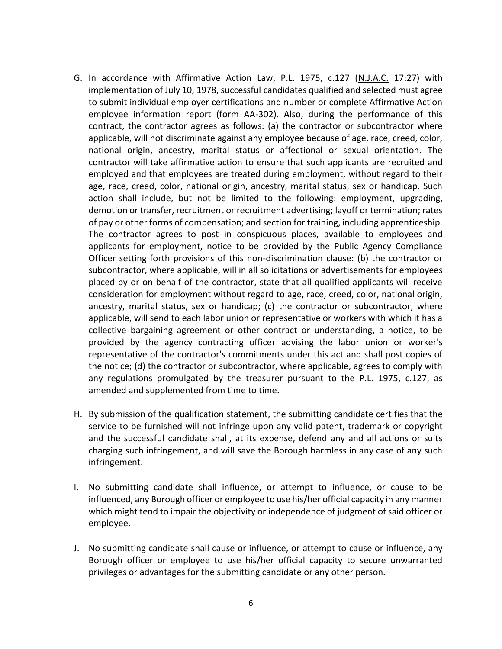- G. In accordance with Affirmative Action Law, P.L. 1975, c.127 (N.J.A.C. 17:27) with implementation of July 10, 1978, successful candidates qualified and selected must agree to submit individual employer certifications and number or complete Affirmative Action employee information report (form AA-302). Also, during the performance of this contract, the contractor agrees as follows: (a) the contractor or subcontractor where applicable, will not discriminate against any employee because of age, race, creed, color, national origin, ancestry, marital status or affectional or sexual orientation. The contractor will take affirmative action to ensure that such applicants are recruited and employed and that employees are treated during employment, without regard to their age, race, creed, color, national origin, ancestry, marital status, sex or handicap. Such action shall include, but not be limited to the following: employment, upgrading, demotion or transfer, recruitment or recruitment advertising; layoff or termination; rates of pay or other forms of compensation; and section for training, including apprenticeship. The contractor agrees to post in conspicuous places, available to employees and applicants for employment, notice to be provided by the Public Agency Compliance Officer setting forth provisions of this non-discrimination clause: (b) the contractor or subcontractor, where applicable, will in all solicitations or advertisements for employees placed by or on behalf of the contractor, state that all qualified applicants will receive consideration for employment without regard to age, race, creed, color, national origin, ancestry, marital status, sex or handicap; (c) the contractor or subcontractor, where applicable, will send to each labor union or representative or workers with which it has a collective bargaining agreement or other contract or understanding, a notice, to be provided by the agency contracting officer advising the labor union or worker's representative of the contractor's commitments under this act and shall post copies of the notice; (d) the contractor or subcontractor, where applicable, agrees to comply with any regulations promulgated by the treasurer pursuant to the P.L. 1975, c.127, as amended and supplemented from time to time.
- H. By submission of the qualification statement, the submitting candidate certifies that the service to be furnished will not infringe upon any valid patent, trademark or copyright and the successful candidate shall, at its expense, defend any and all actions or suits charging such infringement, and will save the Borough harmless in any case of any such infringement.
- I. No submitting candidate shall influence, or attempt to influence, or cause to be influenced, any Borough officer or employee to use his/her official capacity in any manner which might tend to impair the objectivity or independence of judgment of said officer or employee.
- J. No submitting candidate shall cause or influence, or attempt to cause or influence, any Borough officer or employee to use his/her official capacity to secure unwarranted privileges or advantages for the submitting candidate or any other person.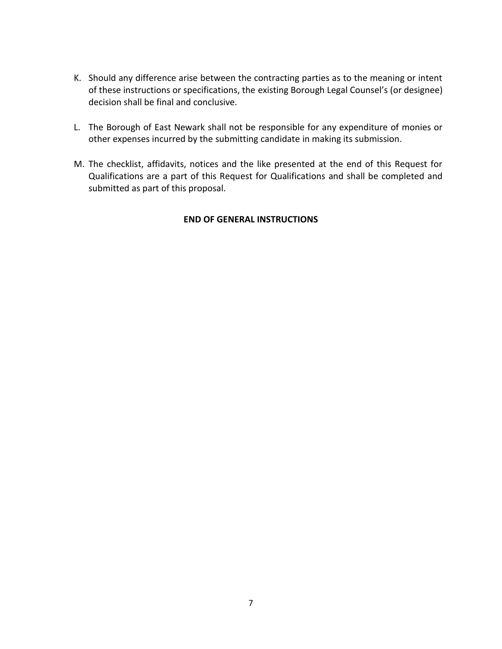- K. Should any difference arise between the contracting parties as to the meaning or intent of these instructions or specifications, the existing Borough Legal Counsel's (or designee) decision shall be final and conclusive.
- L. The Borough of East Newark shall not be responsible for any expenditure of monies or other expenses incurred by the submitting candidate in making its submission.
- M. The checklist, affidavits, notices and the like presented at the end of this Request for Qualifications are a part of this Request for Qualifications and shall be completed and submitted as part of this proposal.

## **END OF GENERAL INSTRUCTIONS**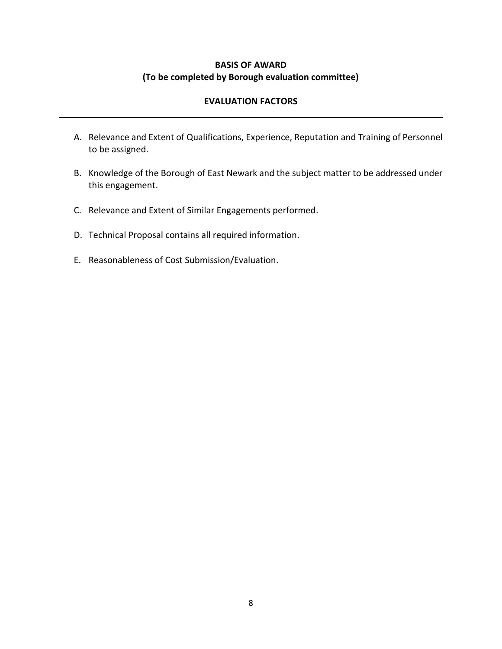## **BASIS OF AWARD (To be completed by Borough evaluation committee)**

## **EVALUATION FACTORS**

- A. Relevance and Extent of Qualifications, Experience, Reputation and Training of Personnel to be assigned.
- B. Knowledge of the Borough of East Newark and the subject matter to be addressed under this engagement.
- C. Relevance and Extent of Similar Engagements performed.
- D. Technical Proposal contains all required information.
- E. Reasonableness of Cost Submission/Evaluation.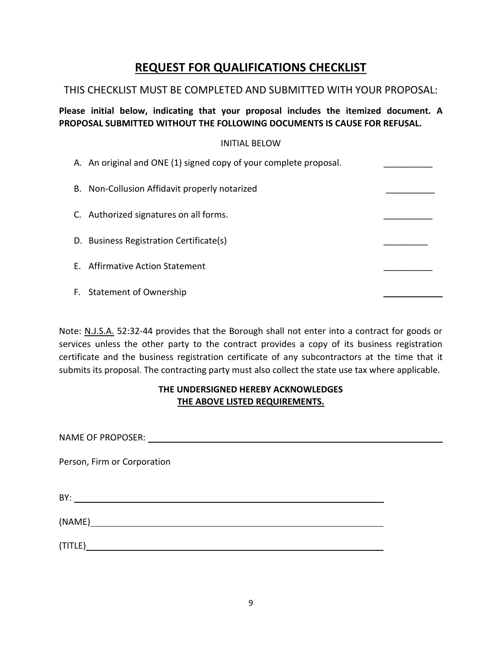## **REQUEST FOR QUALIFICATIONS CHECKLIST**

## THIS CHECKLIST MUST BE COMPLETED AND SUBMITTED WITH YOUR PROPOSAL:

**Please initial below, indicating that your proposal includes the itemized document. A PROPOSAL SUBMITTED WITHOUT THE FOLLOWING DOCUMENTS IS CAUSE FOR REFUSAL.**

#### INITIAL BELOW

| A. An original and ONE (1) signed copy of your complete proposal. |  |
|-------------------------------------------------------------------|--|
| B. Non-Collusion Affidavit properly notarized                     |  |
| C. Authorized signatures on all forms.                            |  |
| D. Business Registration Certificate(s)                           |  |
| E. Affirmative Action Statement                                   |  |
| F. Statement of Ownership                                         |  |

Note: N.J.S.A. 52:32-44 provides that the Borough shall not enter into a contract for goods or services unless the other party to the contract provides a copy of its business registration certificate and the business registration certificate of any subcontractors at the time that it submits its proposal. The contracting party must also collect the state use tax where applicable.

## **THE UNDERSIGNED HEREBY ACKNOWLEDGES THE ABOVE LISTED REQUIREMENTS.**

NAME OF PROPOSER:

Person, Firm or Corporation

BY: **Example 2008** Section 2008 of the contract of the contract of the contract of the contract of the contract of the contract of the contract of the contract of the contract of the contract of the contract of the contrac

(NAME)

(TITLE)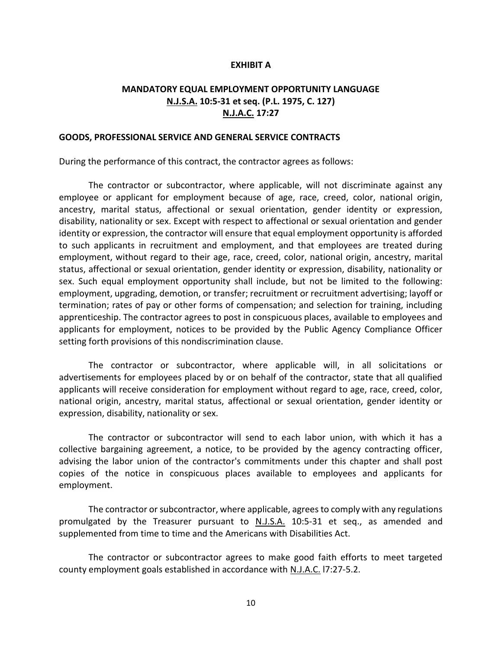#### **EXHIBIT A**

## **MANDATORY EQUAL EMPLOYMENT OPPORTUNITY LANGUAGE N.J.S.A. 10:5-31 et seq. (P.L. 1975, C. 127) N.J.A.C. 17:27**

#### **GOODS, PROFESSIONAL SERVICE AND GENERAL SERVICE CONTRACTS**

During the performance of this contract, the contractor agrees as follows:

The contractor or subcontractor, where applicable, will not discriminate against any employee or applicant for employment because of age, race, creed, color, national origin, ancestry, marital status, affectional or sexual orientation, gender identity or expression, disability, nationality or sex. Except with respect to affectional or sexual orientation and gender identity or expression, the contractor will ensure that equal employment opportunity is afforded to such applicants in recruitment and employment, and that employees are treated during employment, without regard to their age, race, creed, color, national origin, ancestry, marital status, affectional or sexual orientation, gender identity or expression, disability, nationality or sex. Such equal employment opportunity shall include, but not be limited to the following: employment, upgrading, demotion, or transfer; recruitment or recruitment advertising; layoff or termination; rates of pay or other forms of compensation; and selection for training, including apprenticeship. The contractor agrees to post in conspicuous places, available to employees and applicants for employment, notices to be provided by the Public Agency Compliance Officer setting forth provisions of this nondiscrimination clause.

The contractor or subcontractor, where applicable will, in all solicitations or advertisements for employees placed by or on behalf of the contractor, state that all qualified applicants will receive consideration for employment without regard to age, race, creed, color, national origin, ancestry, marital status, affectional or sexual orientation, gender identity or expression, disability, nationality or sex.

The contractor or subcontractor will send to each labor union, with which it has a collective bargaining agreement, a notice, to be provided by the agency contracting officer, advising the labor union of the contractor's commitments under this chapter and shall post copies of the notice in conspicuous places available to employees and applicants for employment.

The contractor or subcontractor, where applicable, agrees to comply with any regulations promulgated by the Treasurer pursuant to  $N.L.S.A.$  10:5-31 et seq., as amended and supplemented from time to time and the Americans with Disabilities Act.

The contractor or subcontractor agrees to make good faith efforts to meet targeted county employment goals established in accordance with N.J.A.C. l7:27-5.2.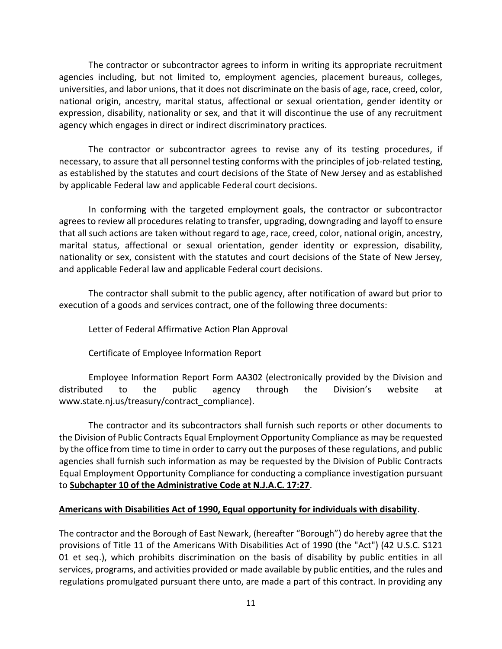The contractor or subcontractor agrees to inform in writing its appropriate recruitment agencies including, but not limited to, employment agencies, placement bureaus, colleges, universities, and labor unions, that it does not discriminate on the basis of age, race, creed, color, national origin, ancestry, marital status, affectional or sexual orientation, gender identity or expression, disability, nationality or sex, and that it will discontinue the use of any recruitment agency which engages in direct or indirect discriminatory practices.

The contractor or subcontractor agrees to revise any of its testing procedures, if necessary, to assure that all personnel testing conforms with the principles of job-related testing, as established by the statutes and court decisions of the State of New Jersey and as established by applicable Federal law and applicable Federal court decisions.

In conforming with the targeted employment goals, the contractor or subcontractor agrees to review all procedures relating to transfer, upgrading, downgrading and layoff to ensure that all such actions are taken without regard to age, race, creed, color, national origin, ancestry, marital status, affectional or sexual orientation, gender identity or expression, disability, nationality or sex, consistent with the statutes and court decisions of the State of New Jersey, and applicable Federal law and applicable Federal court decisions.

The contractor shall submit to the public agency, after notification of award but prior to execution of a goods and services contract, one of the following three documents:

Letter of Federal Affirmative Action Plan Approval

Certificate of Employee Information Report

Employee Information Report Form AA302 (electronically provided by the Division and distributed to the public agency through the Division's website at www.state.nj.us/treasury/contract\_compliance).

The contractor and its subcontractors shall furnish such reports or other documents to the Division of Public Contracts Equal Employment Opportunity Compliance as may be requested by the office from time to time in order to carry out the purposes of these regulations, and public agencies shall furnish such information as may be requested by the Division of Public Contracts Equal Employment Opportunity Compliance for conducting a compliance investigation pursuant to **Subchapter 10 of the Administrative Code at N.J.A.C. 17:27**.

## **Americans with Disabilities Act of 1990, Equal opportunity for individuals with disability**.

The contractor and the Borough of East Newark, (hereafter "Borough") do hereby agree that the provisions of Title 11 of the Americans With Disabilities Act of 1990 (the "Act") (42 U.S.C. S121 01 et seq.), which prohibits discrimination on the basis of disability by public entities in all services, programs, and activities provided or made available by public entities, and the rules and regulations promulgated pursuant there unto, are made a part of this contract. In providing any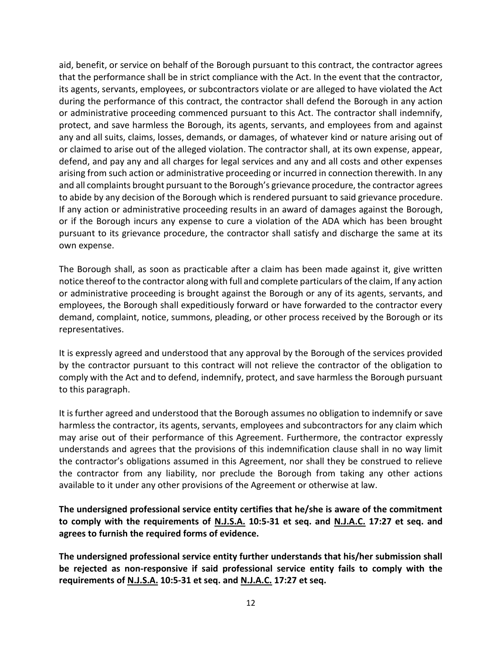aid, benefit, or service on behalf of the Borough pursuant to this contract, the contractor agrees that the performance shall be in strict compliance with the Act. In the event that the contractor, its agents, servants, employees, or subcontractors violate or are alleged to have violated the Act during the performance of this contract, the contractor shall defend the Borough in any action or administrative proceeding commenced pursuant to this Act. The contractor shall indemnify, protect, and save harmless the Borough, its agents, servants, and employees from and against any and all suits, claims, losses, demands, or damages, of whatever kind or nature arising out of or claimed to arise out of the alleged violation. The contractor shall, at its own expense, appear, defend, and pay any and all charges for legal services and any and all costs and other expenses arising from such action or administrative proceeding or incurred in connection therewith. In any and all complaints brought pursuant to the Borough's grievance procedure, the contractor agrees to abide by any decision of the Borough which is rendered pursuant to said grievance procedure. If any action or administrative proceeding results in an award of damages against the Borough, or if the Borough incurs any expense to cure a violation of the ADA which has been brought pursuant to its grievance procedure, the contractor shall satisfy and discharge the same at its own expense.

The Borough shall, as soon as practicable after a claim has been made against it, give written notice thereof to the contractor along with full and complete particulars of the claim, If any action or administrative proceeding is brought against the Borough or any of its agents, servants, and employees, the Borough shall expeditiously forward or have forwarded to the contractor every demand, complaint, notice, summons, pleading, or other process received by the Borough or its representatives.

It is expressly agreed and understood that any approval by the Borough of the services provided by the contractor pursuant to this contract will not relieve the contractor of the obligation to comply with the Act and to defend, indemnify, protect, and save harmless the Borough pursuant to this paragraph.

It is further agreed and understood that the Borough assumes no obligation to indemnify or save harmless the contractor, its agents, servants, employees and subcontractors for any claim which may arise out of their performance of this Agreement. Furthermore, the contractor expressly understands and agrees that the provisions of this indemnification clause shall in no way limit the contractor's obligations assumed in this Agreement, nor shall they be construed to relieve the contractor from any liability, nor preclude the Borough from taking any other actions available to it under any other provisions of the Agreement or otherwise at law.

**The undersigned professional service entity certifies that he/she is aware of the commitment to comply with the requirements of N.J.S.A. 10:5-31 et seq. and N.J.A.C. 17:27 et seq. and agrees to furnish the required forms of evidence.** 

**The undersigned professional service entity further understands that his/her submission shall be rejected as non-responsive if said professional service entity fails to comply with the requirements of N.J.S.A. 10:5-31 et seq. and N.J.A.C. 17:27 et seq.**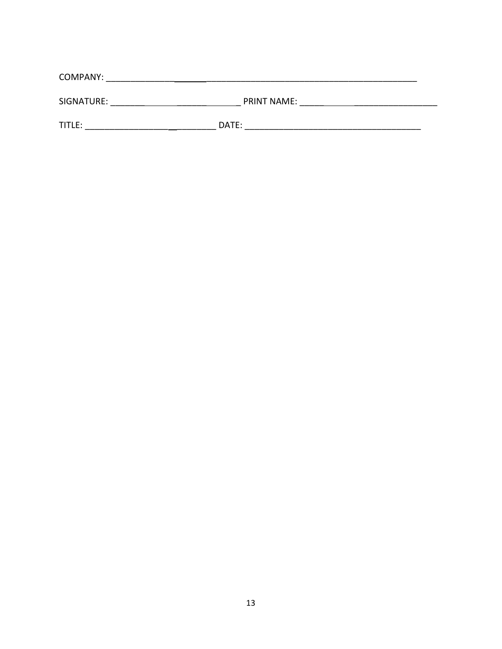| COMPANY:   |                    |  |  |  |
|------------|--------------------|--|--|--|
| SIGNATURE: | <b>PRINT NAME:</b> |  |  |  |
| TITLE:     | DATE:              |  |  |  |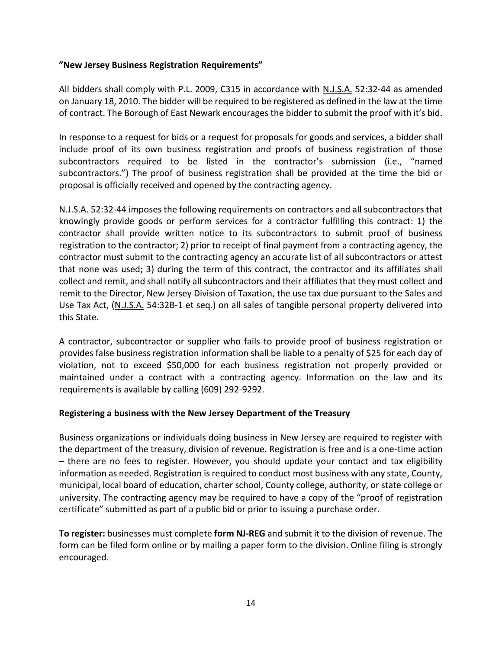## **"New Jersey Business Registration Requirements"**

All bidders shall comply with P.L. 2009, C315 in accordance with N.J.S.A. 52:32-44 as amended on January 18, 2010. The bidder will be required to be registered as defined in the law at the time of contract. The Borough of East Newark encourages the bidder to submit the proof with it's bid.

In response to a request for bids or a request for proposals for goods and services, a bidder shall include proof of its own business registration and proofs of business registration of those subcontractors required to be listed in the contractor's submission (i.e., "named subcontractors.") The proof of business registration shall be provided at the time the bid or proposal is officially received and opened by the contracting agency.

N.J.S.A. 52:32-44 imposes the following requirements on contractors and all subcontractors that knowingly provide goods or perform services for a contractor fulfilling this contract: 1) the contractor shall provide written notice to its subcontractors to submit proof of business registration to the contractor; 2) prior to receipt of final payment from a contracting agency, the contractor must submit to the contracting agency an accurate list of all subcontractors or attest that none was used; 3) during the term of this contract, the contractor and its affiliates shall collect and remit, and shall notify all subcontractors and their affiliates that they must collect and remit to the Director, New Jersey Division of Taxation, the use tax due pursuant to the Sales and Use Tax Act, (N.J.S.A. 54:32B-1 et seq.) on all sales of tangible personal property delivered into this State.

A contractor, subcontractor or supplier who fails to provide proof of business registration or provides false business registration information shall be liable to a penalty of \$25 for each day of violation, not to exceed \$50,000 for each business registration not properly provided or maintained under a contract with a contracting agency. Information on the law and its requirements is available by calling (609) 292-9292.

#### **Registering a business with the New Jersey Department of the Treasury**

Business organizations or individuals doing business in New Jersey are required to register with the department of the treasury, division of revenue. Registration is free and is a one-time action – there are no fees to register. However, you should update your contact and tax eligibility information as needed. Registration is required to conduct most business with any state, County, municipal, local board of education, charter school, County college, authority, or state college or university. The contracting agency may be required to have a copy of the "proof of registration certificate" submitted as part of a public bid or prior to issuing a purchase order.

**To register:** businesses must complete **form NJ-REG** and submit it to the division of revenue. The form can be filed form online or by mailing a paper form to the division. Online filing is strongly encouraged.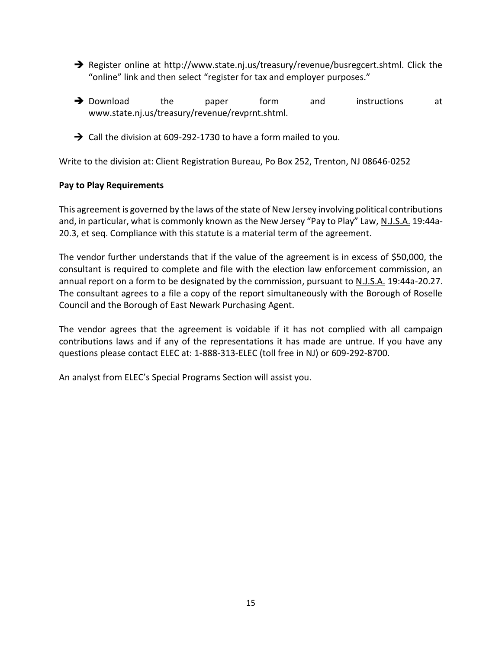- ➔ Register online at http://www.state.nj.us/treasury/revenue/busregcert.shtml. Click the "online" link and then select "register for tax and employer purposes."
- **→** Download the paper form and instructions at www.state.nj.us/treasury/revenue/revprnt.shtml.
- $\rightarrow$  Call the division at 609-292-1730 to have a form mailed to you.

Write to the division at: Client Registration Bureau, Po Box 252, Trenton, NJ 08646-0252

#### **Pay to Play Requirements**

This agreement is governed by the laws of the state of New Jersey involving political contributions and, in particular, what is commonly known as the New Jersey "Pay to Play" Law, N.J.S.A. 19:44a-20.3, et seq. Compliance with this statute is a material term of the agreement.

The vendor further understands that if the value of the agreement is in excess of \$50,000, the consultant is required to complete and file with the election law enforcement commission, an annual report on a form to be designated by the commission, pursuant to N.J.S.A. 19:44a-20.27. The consultant agrees to a file a copy of the report simultaneously with the Borough of Roselle Council and the Borough of East Newark Purchasing Agent.

The vendor agrees that the agreement is voidable if it has not complied with all campaign contributions laws and if any of the representations it has made are untrue. If you have any questions please contact ELEC at: 1-888-313-ELEC (toll free in NJ) or 609-292-8700.

An analyst from ELEC's Special Programs Section will assist you.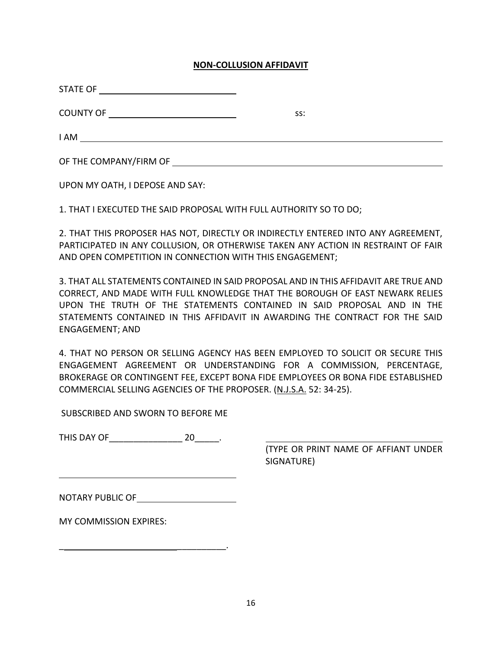#### **NON-COLLUSION AFFIDAVIT**

| STATE OF               |     |  |
|------------------------|-----|--|
| COUNTY OF              | SS: |  |
| I AM                   |     |  |
| OF THE COMPANY/FIRM OF |     |  |

UPON MY OATH, I DEPOSE AND SAY:

1. THAT I EXECUTED THE SAID PROPOSAL WITH FULL AUTHORITY SO TO DO;

2. THAT THIS PROPOSER HAS NOT, DIRECTLY OR INDIRECTLY ENTERED INTO ANY AGREEMENT, PARTICIPATED IN ANY COLLUSION, OR OTHERWISE TAKEN ANY ACTION IN RESTRAINT OF FAIR AND OPEN COMPETITION IN CONNECTION WITH THIS ENGAGEMENT;

3. THAT ALL STATEMENTS CONTAINED IN SAID PROPOSAL AND IN THIS AFFIDAVIT ARE TRUE AND CORRECT, AND MADE WITH FULL KNOWLEDGE THAT THE BOROUGH OF EAST NEWARK RELIES UPON THE TRUTH OF THE STATEMENTS CONTAINED IN SAID PROPOSAL AND IN THE STATEMENTS CONTAINED IN THIS AFFIDAVIT IN AWARDING THE CONTRACT FOR THE SAID ENGAGEMENT; AND

4. THAT NO PERSON OR SELLING AGENCY HAS BEEN EMPLOYED TO SOLICIT OR SECURE THIS ENGAGEMENT AGREEMENT OR UNDERSTANDING FOR A COMMISSION, PERCENTAGE, BROKERAGE OR CONTINGENT FEE, EXCEPT BONA FIDE EMPLOYEES OR BONA FIDE ESTABLISHED COMMERCIAL SELLING AGENCIES OF THE PROPOSER. (N.J.S.A. 52: 34-25).

SUBSCRIBED AND SWORN TO BEFORE ME

THIS DAY OF THIS 20 THIS 20

(TYPE OR PRINT NAME OF AFFIANT UNDER SIGNATURE)

NOTARY PUBLIC OF

\_ \_\_\_\_\_\_\_\_\_\_.

MY COMMISSION EXPIRES: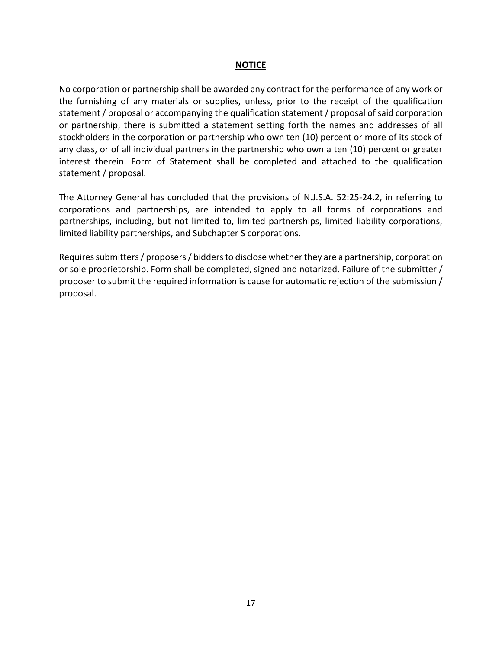#### **NOTICE**

No corporation or partnership shall be awarded any contract for the performance of any work or the furnishing of any materials or supplies, unless, prior to the receipt of the qualification statement / proposal or accompanying the qualification statement / proposal of said corporation or partnership, there is submitted a statement setting forth the names and addresses of all stockholders in the corporation or partnership who own ten (10) percent or more of its stock of any class, or of all individual partners in the partnership who own a ten (10) percent or greater interest therein. Form of Statement shall be completed and attached to the qualification statement / proposal.

The Attorney General has concluded that the provisions of N.J.S.A. 52:25-24.2, in referring to corporations and partnerships, are intended to apply to all forms of corporations and partnerships, including, but not limited to, limited partnerships, limited liability corporations, limited liability partnerships, and Subchapter S corporations.

Requires submitters / proposers / bidders to disclose whether they are a partnership, corporation or sole proprietorship. Form shall be completed, signed and notarized. Failure of the submitter / proposer to submit the required information is cause for automatic rejection of the submission / proposal.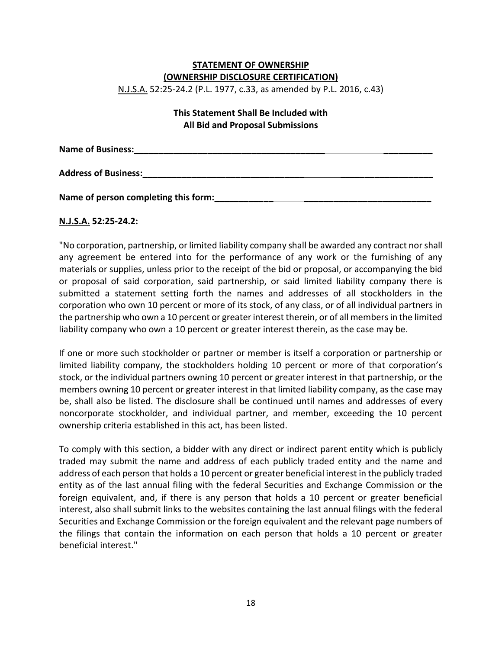## **STATEMENT OF OWNERSHIP (OWNERSHIP DISCLOSURE CERTIFICATION)**

N.J.S.A. 52:25-24.2 (P.L. 1977, c.33, as amended by P.L. 2016, c.43)

## **This Statement Shall Be Included with All Bid and Proposal Submissions**

**Name of Business:\_\_\_\_\_\_\_\_\_\_\_\_\_\_\_\_\_\_\_\_\_\_\_\_\_\_\_\_\_\_\_\_\_\_\_\_\_\_\_ \_\_\_\_\_\_\_\_\_\_ Address of Business:\_\_\_\_\_\_\_\_\_\_\_\_\_\_\_\_\_\_\_\_\_\_\_\_\_\_\_\_\_\_\_\_\_ \_\_\_\_\_\_\_\_\_\_\_\_\_\_\_\_\_\_\_** 

**Name of person completing this form:\_\_\_\_\_\_\_\_\_\_\_\_ \_\_\_\_\_\_\_\_\_\_\_\_\_\_\_\_\_\_\_\_\_\_\_\_\_\_**

## **N.J.S.A. 52:25-24.2:**

"No corporation, partnership, or limited liability company shall be awarded any contract nor shall any agreement be entered into for the performance of any work or the furnishing of any materials or supplies, unless prior to the receipt of the bid or proposal, or accompanying the bid or proposal of said corporation, said partnership, or said limited liability company there is submitted a statement setting forth the names and addresses of all stockholders in the corporation who own 10 percent or more of its stock, of any class, or of all individual partners in the partnership who own a 10 percent or greater interest therein, or of all members in the limited liability company who own a 10 percent or greater interest therein, as the case may be.

If one or more such stockholder or partner or member is itself a corporation or partnership or limited liability company, the stockholders holding 10 percent or more of that corporation's stock, or the individual partners owning 10 percent or greater interest in that partnership, or the members owning 10 percent or greater interest in that limited liability company, as the case may be, shall also be listed. The disclosure shall be continued until names and addresses of every noncorporate stockholder, and individual partner, and member, exceeding the 10 percent ownership criteria established in this act, has been listed.

To comply with this section, a bidder with any direct or indirect parent entity which is publicly traded may submit the name and address of each publicly traded entity and the name and address of each person that holds a 10 percent or greater beneficial interest in the publicly traded entity as of the last annual filing with the federal Securities and Exchange Commission or the foreign equivalent, and, if there is any person that holds a 10 percent or greater beneficial interest, also shall submit links to the websites containing the last annual filings with the federal Securities and Exchange Commission or the foreign equivalent and the relevant page numbers of the filings that contain the information on each person that holds a 10 percent or greater beneficial interest."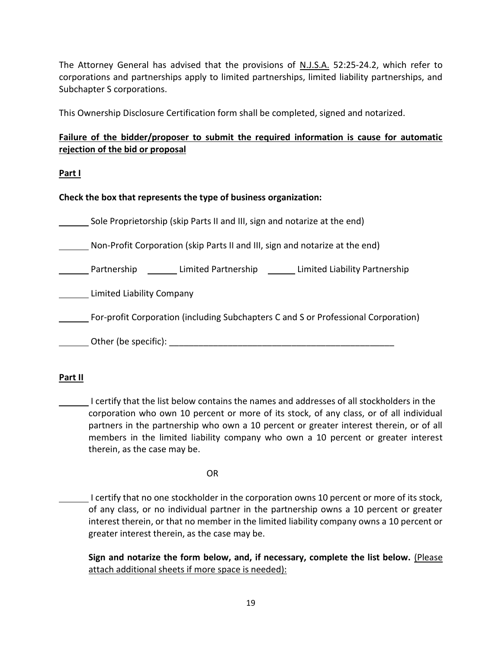The Attorney General has advised that the provisions of N.J.S.A. 52:25-24.2, which refer to corporations and partnerships apply to limited partnerships, limited liability partnerships, and Subchapter S corporations.

This Ownership Disclosure Certification form shall be completed, signed and notarized.

## **Failure of the bidder/proposer to submit the required information is cause for automatic rejection of the bid or proposal**

**Part I** 

**Check the box that represents the type of business organization:** 

Sole Proprietorship (skip Parts II and III, sign and notarize at the end)

Non-Profit Corporation (skip Parts II and III, sign and notarize at the end)

**EXECO** Partnership **Limited Partnership Limited Liability Partnership** 

Limited Liability Company

For-profit Corporation (including Subchapters C and S or Professional Corporation)

 $\hbox{\begin{minipage}{14pt} \begin{tabular}{l} \textbf{Other (be specific):} \end{tabular} \end{minipage}}$ 

#### **Part II**

I certify that the list below contains the names and addresses of all stockholders in the corporation who own 10 percent or more of its stock, of any class, or of all individual partners in the partnership who own a 10 percent or greater interest therein, or of all members in the limited liability company who own a 10 percent or greater interest therein, as the case may be.

OR

I certify that no one stockholder in the corporation owns 10 percent or more of its stock, of any class, or no individual partner in the partnership owns a 10 percent or greater interest therein, or that no member in the limited liability company owns a 10 percent or greater interest therein, as the case may be.

**Sign and notarize the form below, and, if necessary, complete the list below.** (Please attach additional sheets if more space is needed):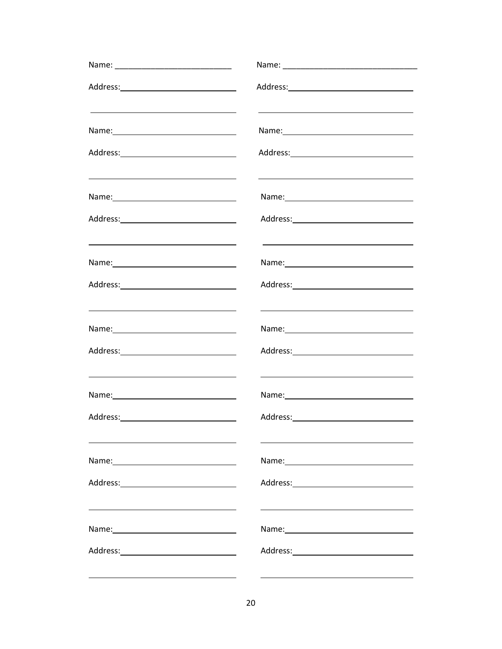| <u> 1980 - John Stein, Amerikaansk politiker (</u> † 1920)                                                             | <u> 1980 - John Stein, Amerikaansk politiker (</u> † 1920)                                                                                                                                                                     |
|------------------------------------------------------------------------------------------------------------------------|--------------------------------------------------------------------------------------------------------------------------------------------------------------------------------------------------------------------------------|
|                                                                                                                        |                                                                                                                                                                                                                                |
| <u> 1989 - Johann Barn, mars ann an t-Amhain ann an t-Amhain an t-Amhain an t-Amhain an t-Amhain an t-Amhain an t-</u> | <u> 1980 - Johann Barn, amerikan besteman besteman besteman besteman besteman besteman besteman besteman bestema</u>                                                                                                           |
|                                                                                                                        |                                                                                                                                                                                                                                |
|                                                                                                                        | Name: Name and the second state of the second state of the second state of the second state of the second state of the second state of the second state of the second state of the second state of the second state of the sec |
|                                                                                                                        |                                                                                                                                                                                                                                |
| <u> 1989 - Johann Stein, fransk politik (f. 1989)</u>                                                                  |                                                                                                                                                                                                                                |
|                                                                                                                        |                                                                                                                                                                                                                                |
| <u> 2008 - Andrea Brand, Amerikaansk politiker (d. 1878)</u>                                                           | <u> 1989 - Johann Stein, marwolaethau a bhann an t-Amhair an t-Amhair an t-Amhair an t-Amhair an t-Amhair an t-A</u>                                                                                                           |
|                                                                                                                        |                                                                                                                                                                                                                                |
|                                                                                                                        |                                                                                                                                                                                                                                |
|                                                                                                                        |                                                                                                                                                                                                                                |
|                                                                                                                        |                                                                                                                                                                                                                                |
|                                                                                                                        |                                                                                                                                                                                                                                |
|                                                                                                                        |                                                                                                                                                                                                                                |